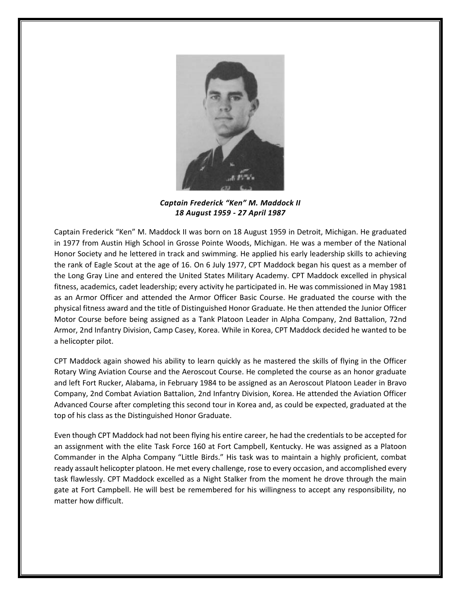

*Captain Frederick "Ken" M. Maddock II 18 August 1959 - 27 April 1987*

Captain Frederick "Ken" M. Maddock II was born on 18 August 1959 in Detroit, Michigan. He graduated in 1977 from Austin High School in Grosse Pointe Woods, Michigan. He was a member of the National Honor Society and he lettered in track and swimming. He applied his early leadership skills to achieving the rank of Eagle Scout at the age of 16. On 6 July 1977, CPT Maddock began his quest as a member of the Long Gray Line and entered the United States Military Academy. CPT Maddock excelled in physical fitness, academics, cadet leadership; every activity he participated in. He was commissioned in May 1981 as an Armor Officer and attended the Armor Officer Basic Course. He graduated the course with the physical fitness award and the title of Distinguished Honor Graduate. He then attended the Junior Officer Motor Course before being assigned as a Tank Platoon Leader in Alpha Company, 2nd Battalion, 72nd Armor, 2nd Infantry Division, Camp Casey, Korea. While in Korea, CPT Maddock decided he wanted to be a helicopter pilot.

CPT Maddock again showed his ability to learn quickly as he mastered the skills of flying in the Officer Rotary Wing Aviation Course and the Aeroscout Course. He completed the course as an honor graduate and left Fort Rucker, Alabama, in February 1984 to be assigned as an Aeroscout Platoon Leader in Bravo Company, 2nd Combat Aviation Battalion, 2nd Infantry Division, Korea. He attended the Aviation Officer Advanced Course after completing this second tour in Korea and, as could be expected, graduated at the top of his class as the Distinguished Honor Graduate.

Even though CPT Maddock had not been flying his entire career, he had the credentials to be accepted for an assignment with the elite Task Force 160 at Fort Campbell, Kentucky. He was assigned as a Platoon Commander in the Alpha Company "Little Birds." His task was to maintain a highly proficient, combat ready assault helicopter platoon. He met every challenge, rose to every occasion, and accomplished every task flawlessly. CPT Maddock excelled as a Night Stalker from the moment he drove through the main gate at Fort Campbell. He will best be remembered for his willingness to accept any responsibility, no matter how difficult.